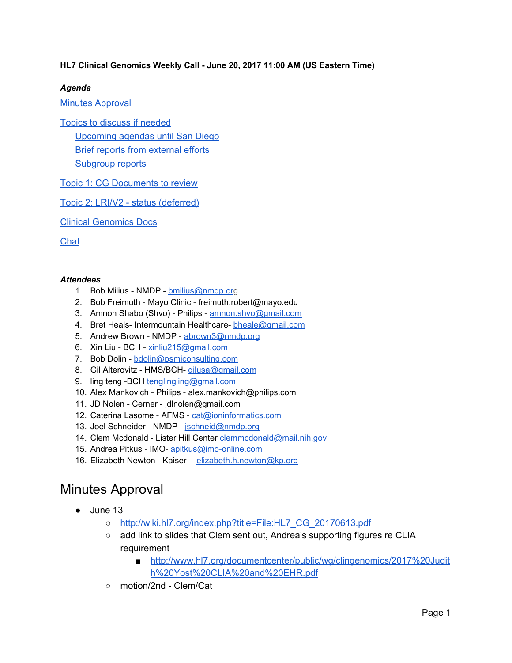#### **HL7 Clinical Genomics Weekly Call - June 20, 2017 11:00 AM (US Eastern Time)**

#### *Agenda*

Minutes [Approval](#page-0-0)

Topics to discuss if [needed](#page-1-0)

[Upcoming](#page-1-2) agendas until San Diego Brief reports from [external](#page-1-1) efforts [Subgroup](#page-1-3) reports

Topic 1: CG [Documents](#page-2-1) to review

Topic 2: LRI/V2 - status [\(deferred\)](#page-2-3)

Clinical [Genomics](#page-2-2) Docs

**[Chat](#page-2-0)** 

#### *Attendees*

- 1. Bob Milius NMDP **[bmilius@nmdp.org](mailto:bmilius@nmdp.org)**
- 2. Bob Freimuth Mayo Clinic freimuth.robert@mayo.edu
- 3. Amnon Shabo (Shvo) Philips [amnon.shvo@gmail.com](mailto:amnon.shvo@gmail.com)
- 4. Bret Heals- Intermountain Healthcare- [bheale@gmail.com](mailto:bheale@gmail.com)
- 5. Andrew Brown NMDP [abrown3@nmdp.org](mailto:abrown3@nmdp.org)
- 6. Xin Liu BCH [xinliu215@gmail.com](mailto:xinliu215@gmail.com)
- 7. Bob Dolin [bdolin@psmiconsulting.com](mailto:bdolin@psmiconsulting.com)
- 8. Gil Alterovitz HMS/BCH- [gilusa@gmail.com](mailto:gilusa@gmail.com)
- 9. ling teng -BCH [tenglingling@gmail.com](mailto:tenglingling@gmail.com)
- 10. Alex Mankovich Philips alex.mankovich@philips.com
- 11. JD Nolen Cerner jdlnolen@gmail.com
- 12. Caterina Lasome AFMS [cat@ioninformatics.com](mailto:cat@ioninformatics.com)
- 13. Joel Schneider NMDP [jschneid@nmdp.org](mailto:jschneid@nmdp.org)
- 14. Clem Mcdonald Lister Hill Center [clemmcdonald@mail.nih.gov](mailto:clemmcdonald@mail.nih.gov)
- 15. Andrea Pitkus IMO- [apitkus@imo-online.com](mailto:apitkus@imo-online.com)
- 16. Elizabeth Newton Kaiser -- [elizabeth.h.newton@kp.org](mailto:elizabeth.h.newton@kp.org)

## <span id="page-0-0"></span>Minutes Approval

- June 13
	- [http://wiki.hl7.org/index.php?title=File:HL7\\_CG\\_20170613.pdf](http://wiki.hl7.org/index.php?title=File:HL7_CG_20170613.pdf)
	- add link to slides that Clem sent out, Andrea's supporting figures re CLIA requirement
		- [http://www.hl7.org/documentcenter/public/wg/clingenomics/2017%20Judit](http://www.hl7.org/documentcenter/public/wg/clingenomics/2017%20Judith%20Yost%20CLIA%20and%20EHR.pdf) [h%20Yost%20CLIA%20and%20EHR.pdf](http://www.hl7.org/documentcenter/public/wg/clingenomics/2017%20Judith%20Yost%20CLIA%20and%20EHR.pdf)
	- motion/2nd Clem/Cat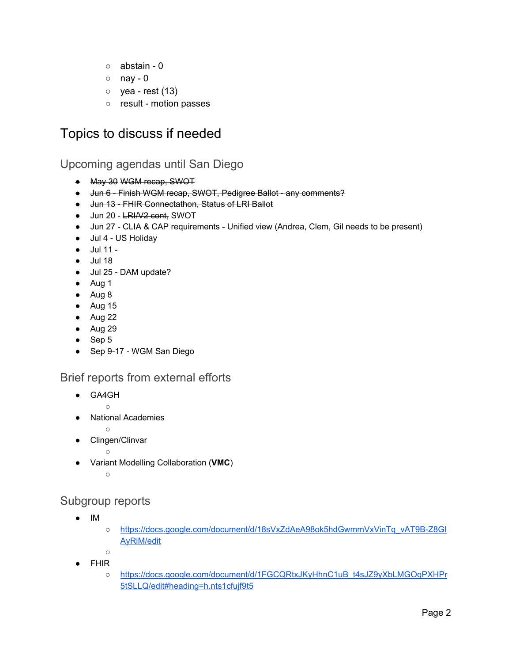- abstain 0
- $\circ$  nay 0
- $\circ$  yea rest (13)
- result motion passes

## <span id="page-1-0"></span>Topics to discuss if needed

### <span id="page-1-2"></span>Upcoming agendas until San Diego

- May 30 WGM recap, SWOT
- Jun 6 Finish WGM recap, SWOT, Pedigree Ballot any comments?
- Jun 13 FHIR Connectathon, Status of LRI Ballot
- Jun 20 <del>LRI/V2 cont,</del> SWOT
- Jun 27 CLIA & CAP requirements Unified view (Andrea, Clem, Gil needs to be present)
- Jul 4 US Holiday
- Jul 11 -
- Jul 18
- Jul 25 DAM update?
- Aug 1
- Aug 8
- Aug 15
- Aug 22
- Aug 29
- Sep 5
- Sep 9-17 WGM San Diego

### <span id="page-1-1"></span>Brief reports from external efforts

- GA4GH
	- $\circ$
- **National Academies** 
	- $\circ$
- Clingen/Clinvar
- ○
- Variant Modelling Collaboration (**VMC**)

○

### <span id="page-1-3"></span>Subgroup reports

○

- IM
- [https://docs.google.com/document/d/18sVxZdAeA98ok5hdGwmmVxVinTq\\_vAT9B-Z8GI](https://docs.google.com/document/d/18sVxZdAeA98ok5hdGwmmVxVinTq_vAT9B-Z8GIAyRiM/edit) [AyRiM/edit](https://docs.google.com/document/d/18sVxZdAeA98ok5hdGwmmVxVinTq_vAT9B-Z8GIAyRiM/edit)
- FHIR
	- [https://docs.google.com/document/d/1FGCQRtxJKyHhnC1uB\\_t4sJZ9yXbLMGOqPXHPr](https://docs.google.com/document/d/1FGCQRtxJKyHhnC1uB_t4sJZ9yXbLMGOqPXHPr5tSLLQ/edit#heading=h.nts1cfujf9t5) [5tSLLQ/edit#heading=h.nts1cfujf9t5](https://docs.google.com/document/d/1FGCQRtxJKyHhnC1uB_t4sJZ9yXbLMGOqPXHPr5tSLLQ/edit#heading=h.nts1cfujf9t5)